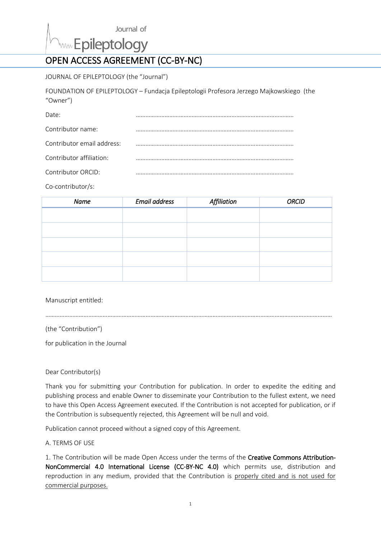Journal of

www.Epileptology

# OPEN ACCESS AGREEMENT (CC-BY-NC)

JOURNAL OF EPILEPTOLOGY (the "Journal")

FOUNDATION OF EPILEPTOLOGY – Fundacja Epileptologii Profesora Jerzego Majkowskiego (the "Owner")

| Date:                      |  |
|----------------------------|--|
| Contributor name:          |  |
| Contributor email address: |  |
| Contributor affiliation:   |  |
| Contributor ORCID:         |  |

Co-contributor/s:

| Name | <b>Email address</b> | Affiliation | <b>ORCID</b> |
|------|----------------------|-------------|--------------|
|      |                      |             |              |
|      |                      |             |              |
|      |                      |             |              |
|      |                      |             |              |
|      |                      |             |              |
|      |                      |             |              |
|      |                      |             |              |

………………………………………………………………………………………………………………………………………………………………

Manuscript entitled:

(the "Contribution")

for publication in the Journal

Dear Contributor(s)

Thank you for submitting your Contribution for publication. In order to expedite the editing and publishing process and enable Owner to disseminate your Contribution to the fullest extent, we need to have this Open Access Agreement executed. If the Contribution is not accepted for publication, or if the Contribution is subsequently rejected, this Agreement will be null and void.

Publication cannot proceed without a signed copy of this Agreement.

A. TERMS OF USE

1. The Contribution will be made Open Access under the terms of the Creative Commons Attribution-NonCommercial 4.0 International License (CC-BY-NC 4.0) which permits use, distribution and reproduction in any medium, provided that the Contribution is properly cited and is not used for commercial purposes.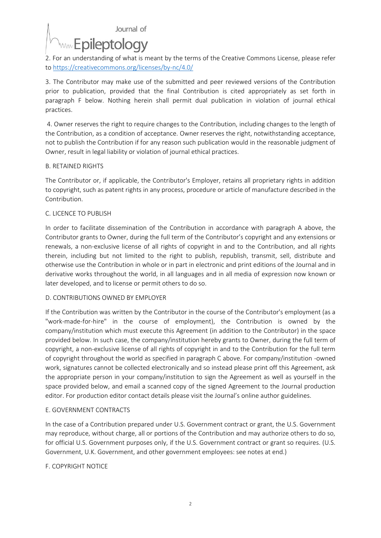Journal of

# www Epileptology

2. For an understanding of what is meant by the terms of the Creative Commons License, please refer t[o https://creativecommons.org/licenses/by-nc/4.0/](https://creativecommons.org/licenses/by-nc/4.0/)

3. The Contributor may make use of the submitted and peer reviewed versions of the Contribution prior to publication, provided that the final Contribution is cited appropriately as set forth in paragraph F below. Nothing herein shall permit dual publication in violation of journal ethical practices.

4. Owner reserves the right to require changes to the Contribution, including changes to the length of the Contribution, as a condition of acceptance. Owner reserves the right, notwithstanding acceptance, not to publish the Contribution if for any reason such publication would in the reasonable judgment of Owner, result in legal liability or violation of journal ethical practices.

# B. RETAINED RIGHTS

The Contributor or, if applicable, the Contributor's Employer, retains all proprietary rights in addition to copyright, such as patent rights in any process, procedure or article of manufacture described in the Contribution.

# C. LICENCE TO PUBLISH

In order to facilitate dissemination of the Contribution in accordance with paragraph A above, the Contributor grants to Owner, during the full term of the Contributor's copyright and any extensions or renewals, a non-exclusive license of all rights of copyright in and to the Contribution, and all rights therein, including but not limited to the right to publish, republish, transmit, sell, distribute and otherwise use the Contribution in whole or in part in electronic and print editions of the Journal and in derivative works throughout the world, in all languages and in all media of expression now known or later developed, and to license or permit others to do so.

#### D. CONTRIBUTIONS OWNED BY EMPLOYER

If the Contribution was written by the Contributor in the course of the Contributor's employment (as a "work-made-for-hire" in the course of employment), the Contribution is owned by the company/institution which must execute this Agreement (in addition to the Contributor) in the space provided below. In such case, the company/institution hereby grants to Owner, during the full term of copyright, a non-exclusive license of all rights of copyright in and to the Contribution for the full term of copyright throughout the world as specified in paragraph C above. For company/institution -owned work, signatures cannot be collected electronically and so instead please print off this Agreement, ask the appropriate person in your company/institution to sign the Agreement as well as yourself in the space provided below, and email a scanned copy of the signed Agreement to the Journal production editor. For production editor contact details please visit the Journal's online author guidelines.

#### E. GOVERNMENT CONTRACTS

In the case of a Contribution prepared under U.S. Government contract or grant, the U.S. Government may reproduce, without charge, all or portions of the Contribution and may authorize others to do so, for official U.S. Government purposes only, if the U.S. Government contract or grant so requires. (U.S. Government, U.K. Government, and other government employees: see notes at end.)

# F. COPYRIGHT NOTICE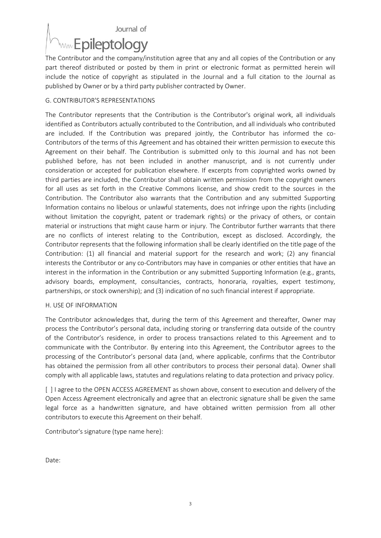Journal of

# **Www** Epileptology

The Contributor and the company/institution agree that any and all copies of the Contribution or any part thereof distributed or posted by them in print or electronic format as permitted herein will include the notice of copyright as stipulated in the Journal and a full citation to the Journal as published by Owner or by a third party publisher contracted by Owner.

# G. CONTRIBUTOR'S REPRESENTATIONS

The Contributor represents that the Contribution is the Contributor's original work, all individuals identified as Contributors actually contributed to the Contribution, and all individuals who contributed are included. If the Contribution was prepared jointly, the Contributor has informed the co-Contributors of the terms of this Agreement and has obtained their written permission to execute this Agreement on their behalf. The Contribution is submitted only to this Journal and has not been published before, has not been included in another manuscript, and is not currently under consideration or accepted for publication elsewhere. If excerpts from copyrighted works owned by third parties are included, the Contributor shall obtain written permission from the copyright owners for all uses as set forth in the Creative Commons license, and show credit to the sources in the Contribution. The Contributor also warrants that the Contribution and any submitted Supporting Information contains no libelous or unlawful statements, does not infringe upon the rights (including without limitation the copyright, patent or trademark rights) or the privacy of others, or contain material or instructions that might cause harm or injury. The Contributor further warrants that there are no conflicts of interest relating to the Contribution, except as disclosed. Accordingly, the Contributor represents that the following information shall be clearly identified on the title page of the Contribution: (1) all financial and material support for the research and work; (2) any financial interests the Contributor or any co-Contributors may have in companies or other entities that have an interest in the information in the Contribution or any submitted Supporting Information (e.g., grants, advisory boards, employment, consultancies, contracts, honoraria, royalties, expert testimony, partnerships, or stock ownership); and (3) indication of no such financial interest if appropriate.

#### H. USE OF INFORMATION

The Contributor acknowledges that, during the term of this Agreement and thereafter, Owner may process the Contributor's personal data, including storing or transferring data outside of the country of the Contributor's residence, in order to process transactions related to this Agreement and to communicate with the Contributor. By entering into this Agreement, the Contributor agrees to the processing of the Contributor's personal data (and, where applicable, confirms that the Contributor has obtained the permission from all other contributors to process their personal data). Owner shall comply with all applicable laws, statutes and regulations relating to data protection and privacy policy.

[ ] I agree to the OPEN ACCESS AGREEMENT as shown above, consent to execution and delivery of the Open Access Agreement electronically and agree that an electronic signature shall be given the same legal force as a handwritten signature, and have obtained written permission from all other contributors to execute this Agreement on their behalf.

Contributor's signature (type name here):

Date: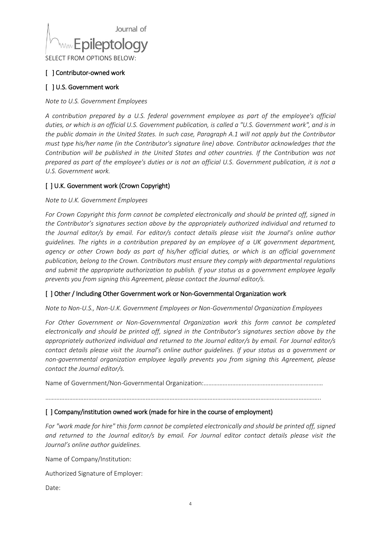

SELECT FROM OPTIONS BELOW:

### [ ] Contributor-owned work

### [ ] U.S. Government work

*Note to U.S. Government Employees*

*A contribution prepared by a U.S. federal government employee as part of the employee's official duties, or which is an official U.S. Government publication, is called a "U.S. Government work", and is in the public domain in the United States. In such case, Paragraph A.1 will not apply but the Contributor must type his/her name (in the Contributor's signature line) above. Contributor acknowledges that the Contribution will be published in the United States and other countries. If the Contribution was not prepared as part of the employee's duties or is not an official U.S. Government publication, it is not a U.S. Government work.*

# [ ] U.K. Government work (Crown Copyright)

*Note to U.K. Government Employees*

*For Crown Copyright this form cannot be completed electronically and should be printed off, signed in the Contributor's signatures section above by the appropriately authorized individual and returned to the Journal editor/s by email. For editor/s contact details please visit the Journal's online author guidelines. The rights in a contribution prepared by an employee of a UK government department, agency or other Crown body as part of his/her official duties, or which is an official government publication, belong to the Crown. Contributors must ensure they comply with departmental regulations and submit the appropriate authorization to publish. If your status as a government employee legally prevents you from signing this Agreement, please contact the Journal editor/s.*

#### [ ] Other / Including Other Government work or Non-Governmental Organization work

*Note to Non-U.S., Non-U.K. Government Employees or Non-Governmental Organization Employees*

*For Other Government or Non-Governmental Organization work this form cannot be completed electronically and should be printed off, signed in the Contributor's signatures section above by the appropriately authorized individual and returned to the Journal editor/s by email. For Journal editor/s contact details please visit the Journal's online author guidelines. If your status as a government or non-governmental organization employee legally prevents you from signing this Agreement, please contact the Journal editor/s.*

Name of Government/Non-Governmental Organization:…………………………………………………………………

………………………………………………………………………………………………………………………………………………………..

#### [ ] Company/institution owned work (made for hire in the course of employment)

*For "work made for hire" this form cannot be completed electronically and should be printed off, signed and returned to the Journal editor/s by email. For Journal editor contact details please visit the Journal's online author guidelines.*

Name of Company/Institution:

Authorized Signature of Employer:

Date: